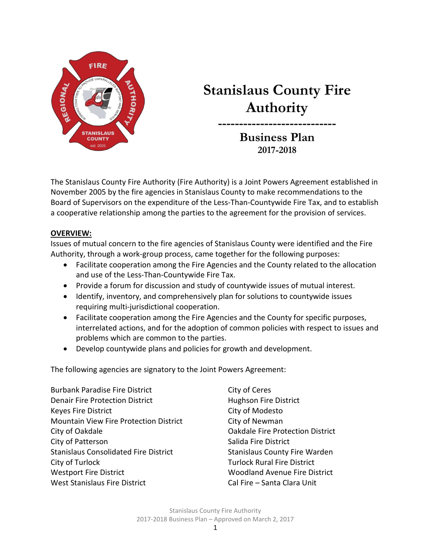

# **Stanislaus County Fire Authority**

**---------------------------- Business Plan 2017-2018**

The Stanislaus County Fire Authority (Fire Authority) is a Joint Powers Agreement established in November 2005 by the fire agencies in Stanislaus County to make recommendations to the Board of Supervisors on the expenditure of the Less-Than-Countywide Fire Tax, and to establish a cooperative relationship among the parties to the agreement for the provision of services.

#### **OVERVIEW:**

Issues of mutual concern to the fire agencies of Stanislaus County were identified and the Fire Authority, through a work-group process, came together for the following purposes:

- Facilitate cooperation among the Fire Agencies and the County related to the allocation and use of the Less-Than-Countywide Fire Tax.
- Provide a forum for discussion and study of countywide issues of mutual interest.
- Identify, inventory, and comprehensively plan for solutions to countywide issues requiring multi-jurisdictional cooperation.
- Facilitate cooperation among the Fire Agencies and the County for specific purposes, interrelated actions, and for the adoption of common policies with respect to issues and problems which are common to the parties.
- Develop countywide plans and policies for growth and development.

The following agencies are signatory to the Joint Powers Agreement:

Burbank Paradise Fire District City of Ceres Denair Fire Protection District **Hughson Fire District** Keyes Fire District **City of Modesto** Mountain View Fire Protection District City of Newman City of Oakdale Oakdale Fire Protection District City of Patterson Salida Fire District Stanislaus Consolidated Fire District Stanislaus County Fire Warden City of Turlock Turlock Rural Fire District Westport Fire District Woodland Avenue Fire District West Stanislaus Fire District Cal Fire – Santa Clara Unit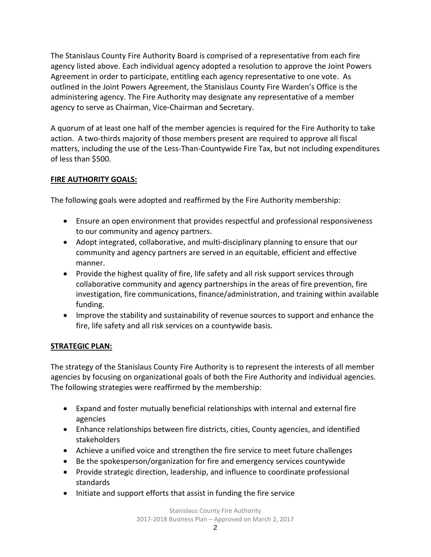The Stanislaus County Fire Authority Board is comprised of a representative from each fire agency listed above. Each individual agency adopted a resolution to approve the Joint Powers Agreement in order to participate, entitling each agency representative to one vote. As outlined in the Joint Powers Agreement, the Stanislaus County Fire Warden's Office is the administering agency. The Fire Authority may designate any representative of a member agency to serve as Chairman, Vice-Chairman and Secretary.

A quorum of at least one half of the member agencies is required for the Fire Authority to take action. A two-thirds majority of those members present are required to approve all fiscal matters, including the use of the Less-Than-Countywide Fire Tax, but not including expenditures of less than \$500.

#### **FIRE AUTHORITY GOALS:**

The following goals were adopted and reaffirmed by the Fire Authority membership:

- Ensure an open environment that provides respectful and professional responsiveness to our community and agency partners.
- Adopt integrated, collaborative, and multi-disciplinary planning to ensure that our community and agency partners are served in an equitable, efficient and effective manner.
- Provide the highest quality of fire, life safety and all risk support services through collaborative community and agency partnerships in the areas of fire prevention, fire investigation, fire communications, finance/administration, and training within available funding.
- Improve the stability and sustainability of revenue sources to support and enhance the fire, life safety and all risk services on a countywide basis.

#### **STRATEGIC PLAN:**

The strategy of the Stanislaus County Fire Authority is to represent the interests of all member agencies by focusing on organizational goals of both the Fire Authority and individual agencies. The following strategies were reaffirmed by the membership:

- Expand and foster mutually beneficial relationships with internal and external fire agencies
- Enhance relationships between fire districts, cities, County agencies, and identified stakeholders
- Achieve a unified voice and strengthen the fire service to meet future challenges
- Be the spokesperson/organization for fire and emergency services countywide
- Provide strategic direction, leadership, and influence to coordinate professional standards
- Initiate and support efforts that assist in funding the fire service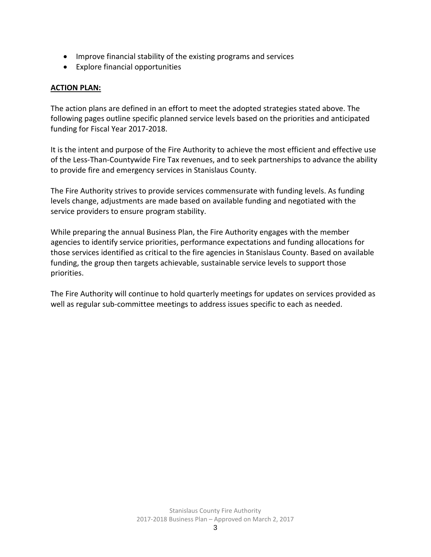- Improve financial stability of the existing programs and services
- Explore financial opportunities

#### **ACTION PLAN:**

The action plans are defined in an effort to meet the adopted strategies stated above. The following pages outline specific planned service levels based on the priorities and anticipated funding for Fiscal Year 2017-2018.

It is the intent and purpose of the Fire Authority to achieve the most efficient and effective use of the Less-Than-Countywide Fire Tax revenues, and to seek partnerships to advance the ability to provide fire and emergency services in Stanislaus County.

The Fire Authority strives to provide services commensurate with funding levels. As funding levels change, adjustments are made based on available funding and negotiated with the service providers to ensure program stability.

While preparing the annual Business Plan, the Fire Authority engages with the member agencies to identify service priorities, performance expectations and funding allocations for those services identified as critical to the fire agencies in Stanislaus County. Based on available funding, the group then targets achievable, sustainable service levels to support those priorities.

The Fire Authority will continue to hold quarterly meetings for updates on services provided as well as regular sub-committee meetings to address issues specific to each as needed.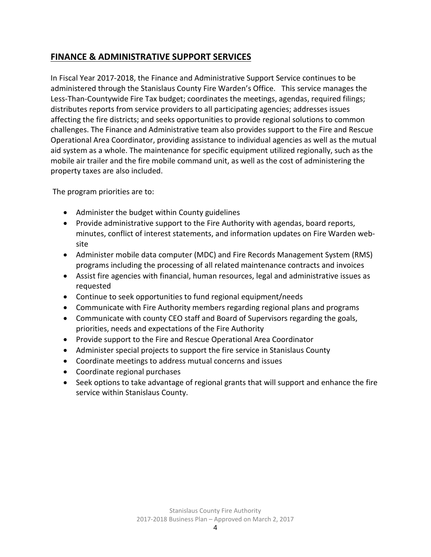# **FINANCE & ADMINISTRATIVE SUPPORT SERVICES**

In Fiscal Year 2017-2018, the Finance and Administrative Support Service continues to be administered through the Stanislaus County Fire Warden's Office. This service manages the Less-Than-Countywide Fire Tax budget; coordinates the meetings, agendas, required filings; distributes reports from service providers to all participating agencies; addresses issues affecting the fire districts; and seeks opportunities to provide regional solutions to common challenges. The Finance and Administrative team also provides support to the Fire and Rescue Operational Area Coordinator, providing assistance to individual agencies as well as the mutual aid system as a whole. The maintenance for specific equipment utilized regionally, such as the mobile air trailer and the fire mobile command unit, as well as the cost of administering the property taxes are also included.

The program priorities are to:

- Administer the budget within County guidelines
- Provide administrative support to the Fire Authority with agendas, board reports, minutes, conflict of interest statements, and information updates on Fire Warden website
- Administer mobile data computer (MDC) and Fire Records Management System (RMS) programs including the processing of all related maintenance contracts and invoices
- Assist fire agencies with financial, human resources, legal and administrative issues as requested
- Continue to seek opportunities to fund regional equipment/needs
- Communicate with Fire Authority members regarding regional plans and programs
- Communicate with county CEO staff and Board of Supervisors regarding the goals, priorities, needs and expectations of the Fire Authority
- Provide support to the Fire and Rescue Operational Area Coordinator
- Administer special projects to support the fire service in Stanislaus County
- Coordinate meetings to address mutual concerns and issues
- Coordinate regional purchases
- Seek options to take advantage of regional grants that will support and enhance the fire service within Stanislaus County.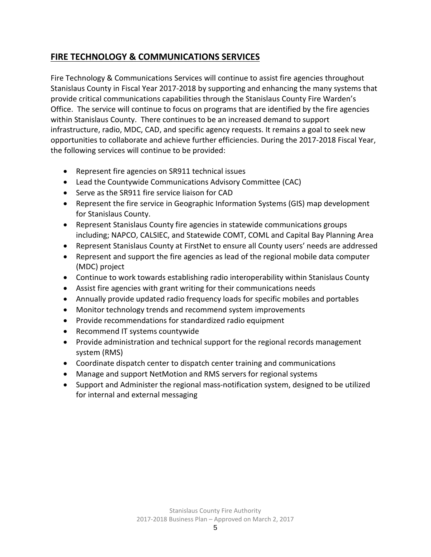## **FIRE TECHNOLOGY & COMMUNICATIONS SERVICES**

Fire Technology & Communications Services will continue to assist fire agencies throughout Stanislaus County in Fiscal Year 2017-2018 by supporting and enhancing the many systems that provide critical communications capabilities through the Stanislaus County Fire Warden's Office. The service will continue to focus on programs that are identified by the fire agencies within Stanislaus County. There continues to be an increased demand to support infrastructure, radio, MDC, CAD, and specific agency requests. It remains a goal to seek new opportunities to collaborate and achieve further efficiencies. During the 2017-2018 Fiscal Year, the following services will continue to be provided:

- Represent fire agencies on SR911 technical issues
- Lead the Countywide Communications Advisory Committee (CAC)
- Serve as the SR911 fire service liaison for CAD
- Represent the fire service in Geographic Information Systems (GIS) map development for Stanislaus County.
- Represent Stanislaus County fire agencies in statewide communications groups including; NAPCO, CALSIEC, and Statewide COMT, COML and Capital Bay Planning Area
- Represent Stanislaus County at FirstNet to ensure all County users' needs are addressed
- Represent and support the fire agencies as lead of the regional mobile data computer (MDC) project
- Continue to work towards establishing radio interoperability within Stanislaus County
- Assist fire agencies with grant writing for their communications needs
- Annually provide updated radio frequency loads for specific mobiles and portables
- Monitor technology trends and recommend system improvements
- Provide recommendations for standardized radio equipment
- Recommend IT systems countywide
- Provide administration and technical support for the regional records management system (RMS)
- Coordinate dispatch center to dispatch center training and communications
- Manage and support NetMotion and RMS servers for regional systems
- Support and Administer the regional mass-notification system, designed to be utilized for internal and external messaging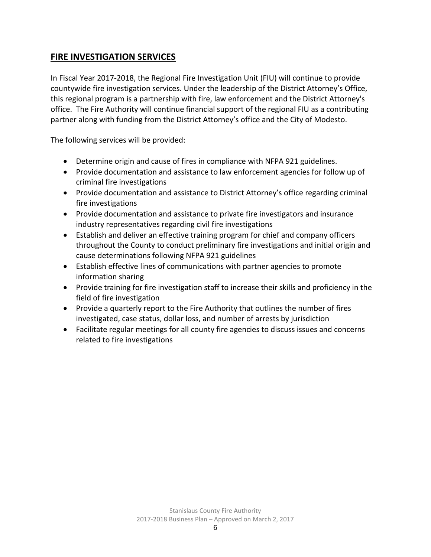## **FIRE INVESTIGATION SERVICES**

In Fiscal Year 2017-2018, the Regional Fire Investigation Unit (FIU) will continue to provide countywide fire investigation services. Under the leadership of the District Attorney's Office, this regional program is a partnership with fire, law enforcement and the District Attorney's office. The Fire Authority will continue financial support of the regional FIU as a contributing partner along with funding from the District Attorney's office and the City of Modesto.

The following services will be provided:

- Determine origin and cause of fires in compliance with NFPA 921 guidelines.
- Provide documentation and assistance to law enforcement agencies for follow up of criminal fire investigations
- Provide documentation and assistance to District Attorney's office regarding criminal fire investigations
- Provide documentation and assistance to private fire investigators and insurance industry representatives regarding civil fire investigations
- Establish and deliver an effective training program for chief and company officers throughout the County to conduct preliminary fire investigations and initial origin and cause determinations following NFPA 921 guidelines
- Establish effective lines of communications with partner agencies to promote information sharing
- Provide training for fire investigation staff to increase their skills and proficiency in the field of fire investigation
- Provide a quarterly report to the Fire Authority that outlines the number of fires investigated, case status, dollar loss, and number of arrests by jurisdiction
- Facilitate regular meetings for all county fire agencies to discuss issues and concerns related to fire investigations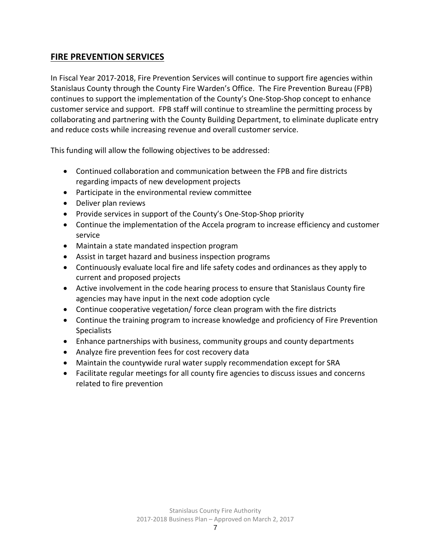## **FIRE PREVENTION SERVICES**

In Fiscal Year 2017-2018, Fire Prevention Services will continue to support fire agencies within Stanislaus County through the County Fire Warden's Office. The Fire Prevention Bureau (FPB) continues to support the implementation of the County's One-Stop-Shop concept to enhance customer service and support. FPB staff will continue to streamline the permitting process by collaborating and partnering with the County Building Department, to eliminate duplicate entry and reduce costs while increasing revenue and overall customer service.

This funding will allow the following objectives to be addressed:

- Continued collaboration and communication between the FPB and fire districts regarding impacts of new development projects
- Participate in the environmental review committee
- Deliver plan reviews
- Provide services in support of the County's One-Stop-Shop priority
- Continue the implementation of the Accela program to increase efficiency and customer service
- Maintain a state mandated inspection program
- Assist in target hazard and business inspection programs
- Continuously evaluate local fire and life safety codes and ordinances as they apply to current and proposed projects
- Active involvement in the code hearing process to ensure that Stanislaus County fire agencies may have input in the next code adoption cycle
- Continue cooperative vegetation/ force clean program with the fire districts
- Continue the training program to increase knowledge and proficiency of Fire Prevention **Specialists**
- Enhance partnerships with business, community groups and county departments
- Analyze fire prevention fees for cost recovery data
- Maintain the countywide rural water supply recommendation except for SRA
- Facilitate regular meetings for all county fire agencies to discuss issues and concerns related to fire prevention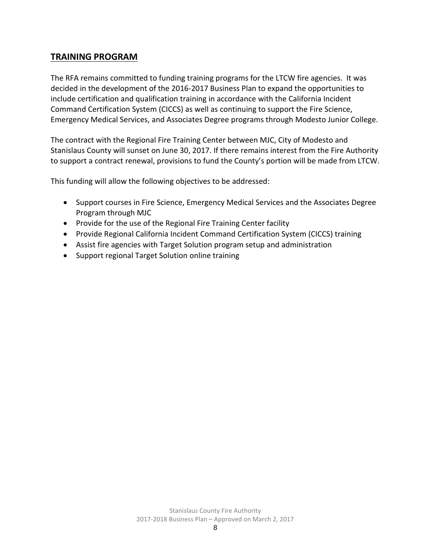### **TRAINING PROGRAM**

The RFA remains committed to funding training programs for the LTCW fire agencies. It was decided in the development of the 2016-2017 Business Plan to expand the opportunities to include certification and qualification training in accordance with the California Incident Command Certification System (CICCS) as well as continuing to support the Fire Science, Emergency Medical Services, and Associates Degree programs through Modesto Junior College.

The contract with the Regional Fire Training Center between MJC, City of Modesto and Stanislaus County will sunset on June 30, 2017. If there remains interest from the Fire Authority to support a contract renewal, provisions to fund the County's portion will be made from LTCW.

This funding will allow the following objectives to be addressed:

- Support courses in Fire Science, Emergency Medical Services and the Associates Degree Program through MJC
- Provide for the use of the Regional Fire Training Center facility
- Provide Regional California Incident Command Certification System (CICCS) training
- Assist fire agencies with Target Solution program setup and administration
- Support regional Target Solution online training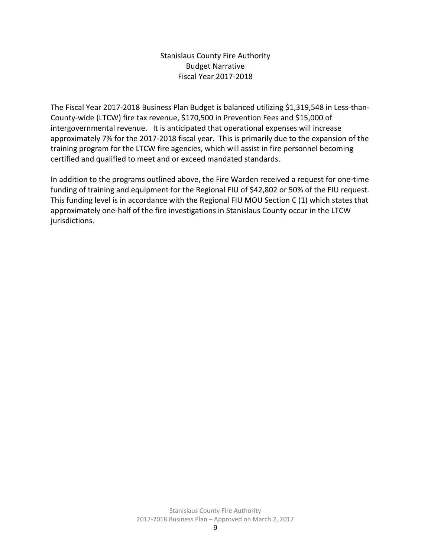#### Stanislaus County Fire Authority Budget Narrative Fiscal Year 2017-2018

The Fiscal Year 2017-2018 Business Plan Budget is balanced utilizing \$1,319,548 in Less-than-County-wide (LTCW) fire tax revenue, \$170,500 in Prevention Fees and \$15,000 of intergovernmental revenue. It is anticipated that operational expenses will increase approximately 7% for the 2017-2018 fiscal year. This is primarily due to the expansion of the training program for the LTCW fire agencies, which will assist in fire personnel becoming certified and qualified to meet and or exceed mandated standards.

In addition to the programs outlined above, the Fire Warden received a request for one-time funding of training and equipment for the Regional FIU of \$42,802 or 50% of the FIU request. This funding level is in accordance with the Regional FIU MOU Section C (1) which states that approximately one-half of the fire investigations in Stanislaus County occur in the LTCW jurisdictions.